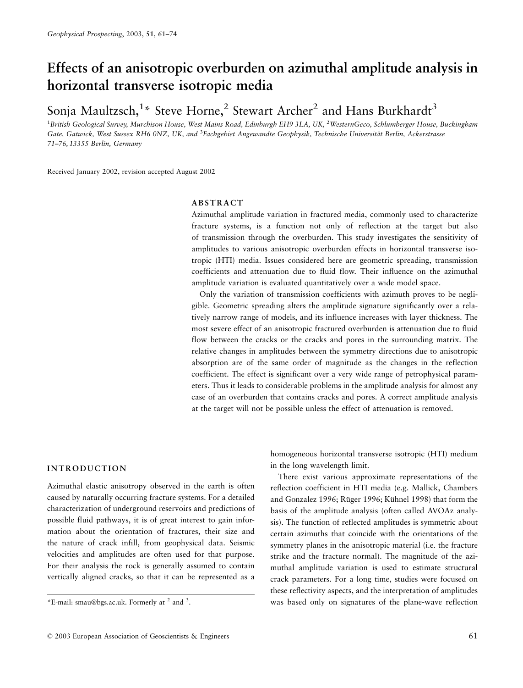# Effects of an anisotropic overburden on azimuthal amplitude analysis in horizontal transverse isotropic media

Sonia Maultzsch,<sup>1\*</sup> Steve Horne,<sup>2</sup> Stewart Archer<sup>2</sup> and Hans Burkhardt<sup>3</sup>

<sup>1</sup>British Geological Survey, Murchison House, West Mains Road, Edinburgh EH9 3LA, UK, <sup>2</sup>WesternGeco, Schlumberger House. Buckingham Gate, Gatwick, West Sussex RH6 0NZ, UK, and <sup>3</sup>Fachgebiet Angewandte Geophysik, Technische Universität Berlin, Ackerstrasse 71-76, 13355 Berlin, Germany

Received January 2002, revision accepted August 2002

#### **ABSTRACT**

Azimuthal amplitude variation in fractured media, commonly used to characterize fracture systems, is a function not only of reflection at the target but also of transmission through the overburden. This study investigates the sensitivity of amplitudes to various anisotropic overburden effects in horizontal transverse isotropic (HTI) media. Issues considered here are geometric spreading, transmission coefficients and attenuation due to fluid flow. Their influence on the azimuthal amplitude variation is evaluated quantitatively over a wide model space.

Only the variation of transmission coefficients with azimuth proves to be negligible. Geometric spreading alters the amplitude signature significantly over a relatively narrow range of models, and its influence increases with layer thickness. The most severe effect of an anisotropic fractured overburden is attenuation due to fluid flow between the cracks or the cracks and pores in the surrounding matrix. The relative changes in amplitudes between the symmetry directions due to anisotropic absorption are of the same order of magnitude as the changes in the reflection coefficient. The effect is significant over a very wide range of petrophysical parameters. Thus it leads to considerable problems in the amplitude analysis for almost any case of an overburden that contains cracks and pores. A correct amplitude analysis at the target will not be possible unless the effect of attenuation is removed.

## **INTRODUCTION**

Azimuthal elastic anisotropy observed in the earth is often caused by naturally occurring fracture systems. For a detailed characterization of underground reservoirs and predictions of possible fluid pathways, it is of great interest to gain information about the orientation of fractures, their size and the nature of crack infill, from geophysical data. Seismic velocities and amplitudes are often used for that purpose. For their analysis the rock is generally assumed to contain vertically aligned cracks, so that it can be represented as a

homogeneous horizontal transverse isotropic (HTI) medium in the long wavelength limit.

There exist various approximate representations of the reflection coefficient in HTI media (e.g. Mallick, Chambers and Gonzalez 1996; Rüger 1996; Kühnel 1998) that form the basis of the amplitude analysis (often called AVOAz analysis). The function of reflected amplitudes is symmetric about certain azimuths that coincide with the orientations of the symmetry planes in the anisotropic material (*i.e.* the fracture strike and the fracture normal). The magnitude of the azimuthal amplitude variation is used to estimate structural crack parameters. For a long time, studies were focused on these reflectivity aspects, and the interpretation of amplitudes was based only on signatures of the plane-wave reflection

<sup>\*</sup>E-mail: smau@bgs.ac.uk. Formerly at  $^2$  and  $^3$ .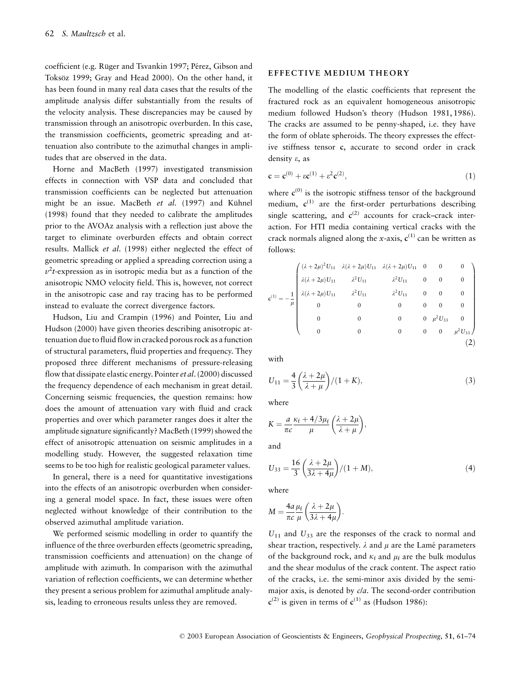coefficient (e.g. Rüger and Tsvankin 1997; Pérez, Gibson and Toksöz 1999; Gray and Head 2000). On the other hand, it has been found in many real data cases that the results of the amplitude analysis differ substantially from the results of the velocity analysis. These discrepancies may be caused by transmission through an anisotropic overburden. In this case, the transmission coefficients, geometric spreading and attenuation also contribute to the azimuthal changes in amplitudes that are observed in the data.

Horne and MacBeth (1997) investigated transmission effects in connection with VSP data and concluded that transmission coefficients can be neglected but attenuation might be an issue. MacBeth et al. (1997) and Kühnel (1998) found that they needed to calibrate the amplitudes prior to the AVOAz analysis with a reflection just above the target to eliminate overburden effects and obtain correct results. Mallick et al. (1998) either neglected the effect of geometric spreading or applied a spreading correction using a  $v<sup>2</sup> t$ -expression as in isotropic media but as a function of the anisotropic NMO velocity field. This is, however, not correct in the anisotropic case and ray tracing has to be performed instead to evaluate the correct divergence factors.

Hudson, Liu and Crampin (1996) and Pointer, Liu and Hudson (2000) have given theories describing anisotropic attenuation due to fluid flow in cracked porous rock as a function of structural parameters, fluid properties and frequency. They proposed three different mechanisms of pressure-releasing flow that dissipate elastic energy. Pointer *et al.* (2000) discussed the frequency dependence of each mechanism in great detail. Concerning seismic frequencies, the question remains: how does the amount of attenuation vary with fluid and crack properties and over which parameter ranges does it alter the amplitude signature significantly? MacBeth (1999) showed the effect of anisotropic attenuation on seismic amplitudes in a modelling study. However, the suggested relaxation time seems to be too high for realistic geological parameter values.

In general, there is a need for quantitative investigations into the effects of an anisotropic overburden when considering a general model space. In fact, these issues were often neglected without knowledge of their contribution to the observed azimuthal amplitude variation.

We performed seismic modelling in order to quantify the influence of the three overburden effects (geometric spreading, transmission coefficients and attenuation) on the change of amplitude with azimuth. In comparison with the azimuthal variation of reflection coefficients, we can determine whether they present a serious problem for azimuthal amplitude analysis, leading to erroneous results unless they are removed.

#### **EFFECTIVE MEDIUM THEORY**

The modelling of the elastic coefficients that represent the fractured rock as an equivalent homogeneous anisotropic medium followed Hudson's theory (Hudson 1981, 1986). The cracks are assumed to be penny-shaped, i.e. they have the form of oblate spheroids. The theory expresses the effective stiffness tensor c, accurate to second order in crack density  $\varepsilon$ , as

$$
\mathbf{c} = \mathbf{c}^{(0)} + \varepsilon \mathbf{c}^{(1)} + \varepsilon^2 \mathbf{c}^{(2)},\tag{1}
$$

where  $c^{(0)}$  is the isotropic stiffness tensor of the background medium,  $c^{(1)}$  are the first-order perturbations describing single scattering, and  $c^{(2)}$  accounts for crack-crack interaction. For HTI media containing vertical cracks with the crack normals aligned along the x-axis,  $c^{(1)}$  can be written as follows:

$$
z^{(1)} = -\frac{1}{\mu} \begin{pmatrix} (\lambda + 2\mu)^2 U_{11} & \lambda(\lambda + 2\mu) U_{11} & \lambda(\lambda + 2\mu) U_{11} & 0 & 0 & 0 \\ \lambda(\lambda + 2\mu) U_{11} & \lambda^2 U_{11} & \lambda^2 U_{11} & 0 & 0 & 0 \\ \lambda(\lambda + 2\mu) U_{11} & \lambda^2 U_{11} & \lambda^2 U_{11} & 0 & 0 & 0 \\ 0 & 0 & 0 & 0 & 0 & 0 \\ 0 & 0 & 0 & 0 & \mu^2 U_{33} & 0 \\ 0 & 0 & 0 & 0 & \mu^2 U_{33} \end{pmatrix}
$$
 (2)

with

$$
U_{11} = \frac{4}{3} \left( \frac{\lambda + 2\mu}{\lambda + \mu} \right) / (1 + K), \tag{3}
$$

where

$$
K = \frac{a}{\pi c} \frac{\kappa_f + 4/3\mu_f}{\mu} \left(\frac{\lambda + 2\mu}{\lambda + \mu}\right),
$$

and

$$
U_{33} = \frac{16}{3} \left( \frac{\lambda + 2\mu}{3\lambda + 4\mu} \right) / (1 + M),\tag{4}
$$

where

$$
M = \frac{4a}{\pi c} \frac{\mu_f}{\mu} \left( \frac{\lambda + 2\mu}{3\lambda + 4\mu} \right).
$$

 $U_{11}$  and  $U_{33}$  are the responses of the crack to normal and shear traction, respectively.  $\lambda$  and  $\mu$  are the Lamé parameters of the background rock, and  $\kappa_f$  and  $\mu_f$  are the bulk modulus and the shear modulus of the crack content. The aspect ratio of the cracks, i.e. the semi-minor axis divided by the semimajor axis, is denoted by *cla*. The second-order contribution  $c^{(2)}$  is given in terms of  $c^{(1)}$  as (Hudson 1986):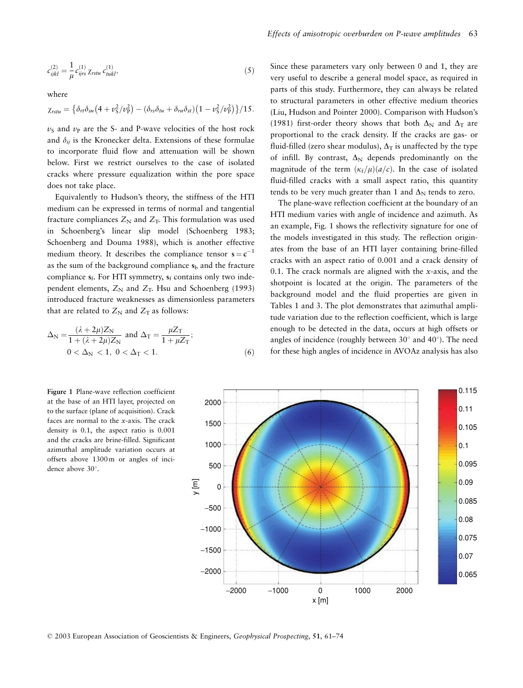$$
c_{ijkl}^{(2)} = \frac{1}{\mu} c_{ijrs}^{(1)} \chi_{rstu} c_{tukl}^{(1)},
$$
\n(5)

where

$$
\chi_{rstu} = \left\{ \delta_{rt} \delta_{su} \left( 4 + \nu_S^2 / \nu_P^2 \right) - \left( \delta_{rs} \delta_{tu} + \delta_{ru} \delta_{st} \right) \left( 1 - \nu_S^2 / \nu_P^2 \right) \right\} / 15
$$

 $v<sub>S</sub>$  and  $v<sub>P</sub>$  are the S- and P-wave velocities of the host rock and  $\delta_{ij}$  is the Kronecker delta. Extensions of these formulae to incorporate fluid flow and attenuation will be shown below. First we restrict ourselves to the case of isolated cracks where pressure equalization within the pore space does not take place.

Equivalently to Hudson's theory, the stiffness of the HTI medium can be expressed in terms of normal and tangential fracture compliances  $Z_N$  and  $Z_T$ . This formulation was used in Schoenberg's linear slip model (Schoenberg 1983; Schoenberg and Douma 1988), which is another effective medium theory. It describes the compliance tensor  $s = c^{-1}$ as the sum of the background compliance  $s<sub>b</sub>$  and the fracture compliance  $s_f$ . For HTI symmetry,  $s_f$  contains only two independent elements,  $Z_N$  and  $Z_T$ . Hsu and Schoenberg (1993) introduced fracture weaknesses as dimensionless parameters that are related to  $Z_N$  and  $Z_T$  as follows:

$$
\Delta_{\rm N} = \frac{(\lambda + 2\mu)Z_{\rm N}}{1 + (\lambda + 2\mu)Z_{\rm N}} \text{ and } \Delta_{\rm T} = \frac{\mu Z_{\rm T}}{1 + \mu Z_{\rm T}}; 0 < \Delta_{\rm N} < 1, 0 < \Delta_{\rm T} < 1.
$$
 (6)

Since these parameters vary only between 0 and 1, they are very useful to describe a general model space, as required in parts of this study. Furthermore, they can always be related to structural parameters in other effective medium theories (Liu, Hudson and Pointer 2000). Comparison with Hudson's (1981) first-order theory shows that both  $\Delta_N$  and  $\Delta_T$  are proportional to the crack density. If the cracks are gas- or fluid-filled (zero shear modulus),  $\Delta$ <sub>T</sub> is unaffected by the type of infill. By contrast,  $\Delta_N$  depends predominantly on the magnitude of the term  $(\kappa_f/\mu)(a/c)$ . In the case of isolated fluid-filled cracks with a small aspect ratio, this quantity tends to be very much greater than 1 and  $\Delta_N$  tends to zero.

The plane-wave reflection coefficient at the boundary of an HTI medium varies with angle of incidence and azimuth. As an example, Fig. 1 shows the reflectivity signature for one of the models investigated in this study. The reflection originates from the base of an HTI layer containing brine-filled cracks with an aspect ratio of 0.001 and a crack density of 0.1. The crack normals are aligned with the  $x$ -axis, and the shotpoint is located at the origin. The parameters of the background model and the fluid properties are given in Tables 1 and 3. The plot demonstrates that azimuthal amplitude variation due to the reflection coefficient, which is large enough to be detected in the data, occurs at high offsets or angles of incidence (roughly between  $30^{\circ}$  and  $40^{\circ}$ ). The need for these high angles of incidence in AVOAz analysis has also

Figure 1 Plane-wave reflection coefficient at the base of an HTI layer, projected on to the surface (plane of acquisition). Crack faces are normal to the  $x$ -axis. The crack density is 0.1, the aspect ratio is 0.001 and the cracks are brine-filled. Significant azimuthal amplitude variation occurs at offsets above 1300m or angles of incidence above 30°.



© 2003 European Association of Geoscientists & Engineers, Geophysical Prospecting, 51, 61–74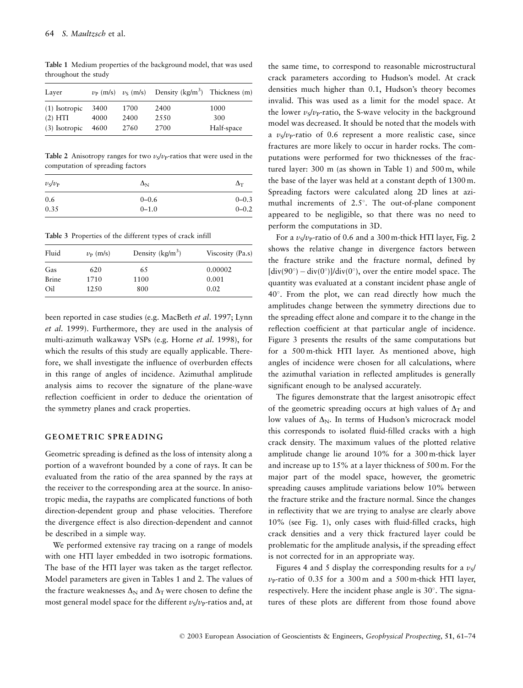Laver  $v_{\rm P}$  (m/s)  $v_{\rm S}$  (m/s) Density  $(kg/m^3)$ Thickness (m) (1) Isotropic 3400 1700 2400 1000  $(2) HTI$ 4000 2400 2550 300 (3) Isotropic 4600 2760 2700 Half-space

Table 1 Medium properties of the background model, that was used throughout the study

Table 2 Anisotropy ranges for two  $v_s/v_p$ -ratios that were used in the computation of spreading factors

| $v_S/v_P$ | $\Delta_{\rm N}$ | $\Delta_{\rm T}$ |  |
|-----------|------------------|------------------|--|
| 0.6       | $0 - 0.6$        | $0 - 0.3$        |  |
| 0.35      | $0 - 1.0$        | $0 - 0.2$        |  |

Table 3 Properties of the different types of crack infill

| Fluid        | $v_{\rm P}$ (m/s) | Density $(kg/m^3)$ | Viscosity (Pa.s) |  |
|--------------|-------------------|--------------------|------------------|--|
| Gas          | 620               | 65                 | 0.00002          |  |
| <b>Brine</b> | 1710              | 1100               | 0.001            |  |
| Oil          | 1250              | 800                | 0.02             |  |

been reported in case studies (e.g. MacBeth et al. 1997; Lynn et al. 1999). Furthermore, they are used in the analysis of multi-azimuth walkaway VSPs (e.g. Horne et al. 1998), for which the results of this study are equally applicable. Therefore, we shall investigate the influence of overburden effects in this range of angles of incidence. Azimuthal amplitude analysis aims to recover the signature of the plane-wave reflection coefficient in order to deduce the orientation of the symmetry planes and crack properties.

#### **GEOMETRIC SPREADING**

Geometric spreading is defined as the loss of intensity along a portion of a wavefront bounded by a cone of rays. It can be evaluated from the ratio of the area spanned by the rays at the receiver to the corresponding area at the source. In anisotropic media, the raypaths are complicated functions of both direction-dependent group and phase velocities. Therefore the divergence effect is also direction-dependent and cannot be described in a simple way.

We performed extensive ray tracing on a range of models with one HTI layer embedded in two isotropic formations. The base of the HTI layer was taken as the target reflector. Model parameters are given in Tables 1 and 2. The values of the fracture weaknesses  $\Delta_N$  and  $\Delta_T$  were chosen to define the most general model space for the different  $v_s/v_p$ -ratios and, at

the same time, to correspond to reasonable microstructural crack parameters according to Hudson's model. At crack densities much higher than 0.1, Hudson's theory becomes invalid. This was used as a limit for the model space. At the lower  $v_s/v_p$ -ratio, the S-wave velocity in the background model was decreased. It should be noted that the models with a  $v<sub>S</sub>/v<sub>P</sub>$ -ratio of 0.6 represent a more realistic case, since fractures are more likely to occur in harder rocks. The computations were performed for two thicknesses of the fractured layer: 300 m (as shown in Table 1) and 500 m, while the base of the layer was held at a constant depth of 1300 m. Spreading factors were calculated along 2D lines at azimuthal increments of 2.5°. The out-of-plane component appeared to be negligible, so that there was no need to perform the computations in 3D.

For a  $v_s/v_p$ -ratio of 0.6 and a 300 m-thick HTI layer, Fig. 2 shows the relative change in divergence factors between the fracture strike and the fracture normal, defined by  $\left[\text{div}(90^\circ) - \text{div}(0^\circ)\right] / \text{div}(0^\circ)$ , over the entire model space. The quantity was evaluated at a constant incident phase angle of 40°. From the plot, we can read directly how much the amplitudes change between the symmetry directions due to the spreading effect alone and compare it to the change in the reflection coefficient at that particular angle of incidence. Figure 3 presents the results of the same computations but for a 500 m-thick HTI layer. As mentioned above, high angles of incidence were chosen for all calculations, where the azimuthal variation in reflected amplitudes is generally significant enough to be analysed accurately.

The figures demonstrate that the largest anisotropic effect of the geometric spreading occurs at high values of  $\Delta_T$  and low values of  $\Delta_N$ . In terms of Hudson's microcrack model this corresponds to isolated fluid-filled cracks with a high crack density. The maximum values of the plotted relative amplitude change lie around 10% for a 300 m-thick layer and increase up to 15% at a layer thickness of 500 m. For the major part of the model space, however, the geometric spreading causes amplitude variations below 10% between the fracture strike and the fracture normal. Since the changes in reflectivity that we are trying to analyse are clearly above 10% (see Fig. 1), only cases with fluid-filled cracks, high crack densities and a very thick fractured layer could be problematic for the amplitude analysis, if the spreading effect is not corrected for in an appropriate way.

Figures 4 and 5 display the corresponding results for a  $v_s$  $v_{\rm P}$ -ratio of 0.35 for a 300 m and a 500 m-thick HTI layer, respectively. Here the incident phase angle is 30°. The signatures of these plots are different from those found above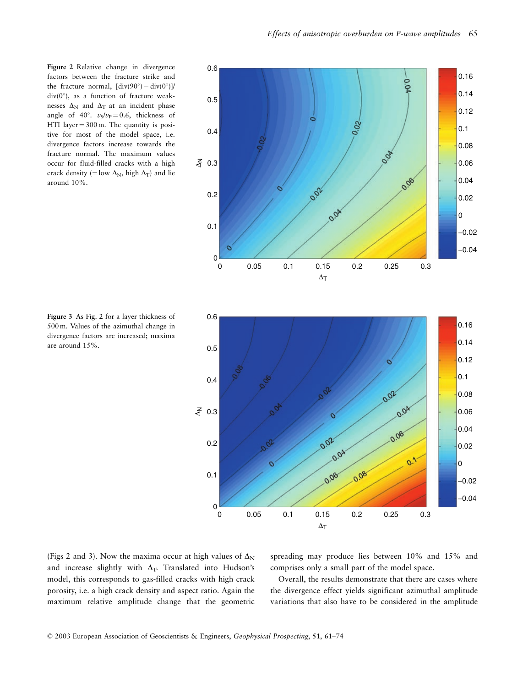Figure 2 Relative change in divergence factors between the fracture strike and the fracture normal,  $\left[\text{div}(90^\circ) - \text{div}(0^\circ)\right]$  $div(0^{\circ})$ , as a function of fracture weaknesses  $\Delta_N$  and  $\Delta_T$  at an incident phase angle of 40°.  $v_S/v_P = 0.6$ , thickness of HTI layer =  $300 \text{ m}$ . The quantity is positive for most of the model space, i.e. divergence factors increase towards the fracture normal. The maximum values occur for fluid-filled cracks with a high crack density (= low  $\Delta_N$ , high  $\Delta_T$ ) and lie around 10%.



Figure 3 As Fig. 2 for a layer thickness of 500 m. Values of the azimuthal change in divergence factors are increased; maxima are around 15%.



(Figs 2 and 3). Now the maxima occur at high values of  $\Delta_N$ and increase slightly with  $\Delta$ <sub>T</sub>. Translated into Hudson's model, this corresponds to gas-filled cracks with high crack porosity, i.e. a high crack density and aspect ratio. Again the maximum relative amplitude change that the geometric

spreading may produce lies between 10% and 15% and comprises only a small part of the model space.

Overall, the results demonstrate that there are cases where the divergence effect yields significant azimuthal amplitude variations that also have to be considered in the amplitude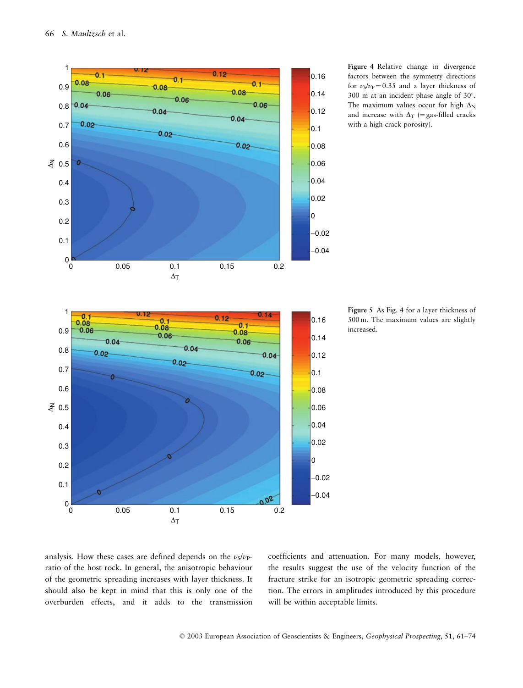

Figure 4 Relative change in divergence factors between the symmetry directions for  $v_s/v_p = 0.35$  and a layer thickness of 300 m at an incident phase angle of 30°. The maximum values occur for high  $\Delta_N$ and increase with  $\Delta_T$  (= gas-filled cracks with a high crack porosity).

increased.

Figure 5 As Fig. 4 for a layer thickness of 500 m. The maximum values are slightly

analysis. How these cases are defined depends on the  $v_s/v_p$ ratio of the host rock. In general, the anisotropic behaviour of the geometric spreading increases with layer thickness. It should also be kept in mind that this is only one of the overburden effects, and it adds to the transmission

coefficients and attenuation. For many models, however, the results suggest the use of the velocity function of the fracture strike for an isotropic geometric spreading correction. The errors in amplitudes introduced by this procedure will be within acceptable limits.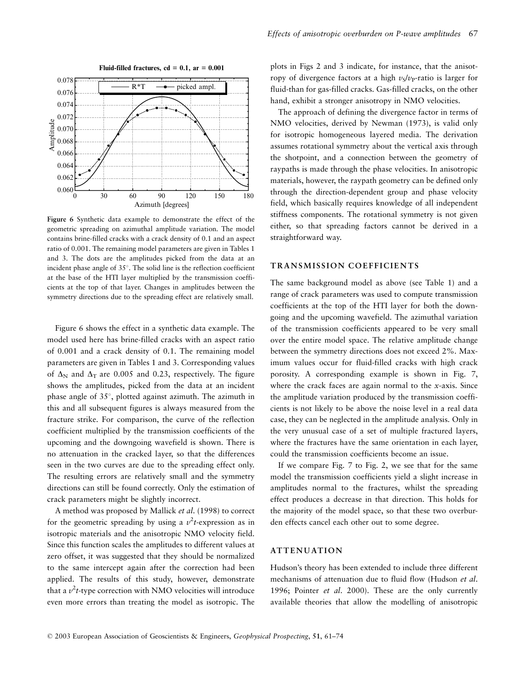

Figure 6 Synthetic data example to demonstrate the effect of the geometric spreading on azimuthal amplitude variation. The model contains brine-filled cracks with a crack density of 0.1 and an aspect ratio of 0.001. The remaining model parameters are given in Tables 1 and 3. The dots are the amplitudes picked from the data at an incident phase angle of 35°. The solid line is the reflection coefficient at the base of the HTI layer multiplied by the transmission coefficients at the top of that layer. Changes in amplitudes between the symmetry directions due to the spreading effect are relatively small.

Figure 6 shows the effect in a synthetic data example. The model used here has brine-filled cracks with an aspect ratio of 0.001 and a crack density of 0.1. The remaining model parameters are given in Tables 1 and 3. Corresponding values of  $\Delta$ <sub>N</sub> and  $\Delta$ <sub>T</sub> are 0.005 and 0.23, respectively. The figure shows the amplitudes, picked from the data at an incident phase angle of  $35^{\circ}$ , plotted against azimuth. The azimuth in this and all subsequent figures is always measured from the fracture strike. For comparison, the curve of the reflection coefficient multiplied by the transmission coefficients of the upcoming and the downgoing wavefield is shown. There is no attenuation in the cracked layer, so that the differences seen in the two curves are due to the spreading effect only. The resulting errors are relatively small and the symmetry directions can still be found correctly. Only the estimation of crack parameters might be slightly incorrect.

A method was proposed by Mallick et al. (1998) to correct for the geometric spreading by using a  $v^2t$ -expression as in isotropic materials and the anisotropic NMO velocity field. Since this function scales the amplitudes to different values at zero offset, it was suggested that they should be normalized to the same intercept again after the correction had been applied. The results of this study, however, demonstrate that a  $v^2t$ -type correction with NMO velocities will introduce even more errors than treating the model as isotropic. The plots in Figs 2 and 3 indicate, for instance, that the anisotropy of divergence factors at a high  $v_s/v_p$ -ratio is larger for fluid-than for gas-filled cracks. Gas-filled cracks, on the other hand, exhibit a stronger anisotropy in NMO velocities.

The approach of defining the divergence factor in terms of NMO velocities, derived by Newman (1973), is valid only for isotropic homogeneous layered media. The derivation assumes rotational symmetry about the vertical axis through the shotpoint, and a connection between the geometry of raypaths is made through the phase velocities. In anisotropic materials, however, the raypath geometry can be defined only through the direction-dependent group and phase velocity field, which basically requires knowledge of all independent stiffness components. The rotational symmetry is not given either, so that spreading factors cannot be derived in a straightforward way.

#### TRANSMISSION COEFFICIENTS

The same background model as above (see Table 1) and a range of crack parameters was used to compute transmission coefficients at the top of the HTI layer for both the downgoing and the upcoming wavefield. The azimuthal variation of the transmission coefficients appeared to be very small over the entire model space. The relative amplitude change between the symmetry directions does not exceed 2%. Maximum values occur for fluid-filled cracks with high crack porosity. A corresponding example is shown in Fig. 7, where the crack faces are again normal to the  $x$ -axis. Since the amplitude variation produced by the transmission coefficients is not likely to be above the noise level in a real data case, they can be neglected in the amplitude analysis. Only in the very unusual case of a set of multiple fractured layers, where the fractures have the same orientation in each layer, could the transmission coefficients become an issue.

If we compare Fig. 7 to Fig. 2, we see that for the same model the transmission coefficients yield a slight increase in amplitudes normal to the fractures, whilst the spreading effect produces a decrease in that direction. This holds for the majority of the model space, so that these two overburden effects cancel each other out to some degree.

## **ATTENUATION**

Hudson's theory has been extended to include three different mechanisms of attenuation due to fluid flow (Hudson et al. 1996; Pointer et al. 2000). These are the only currently available theories that allow the modelling of anisotropic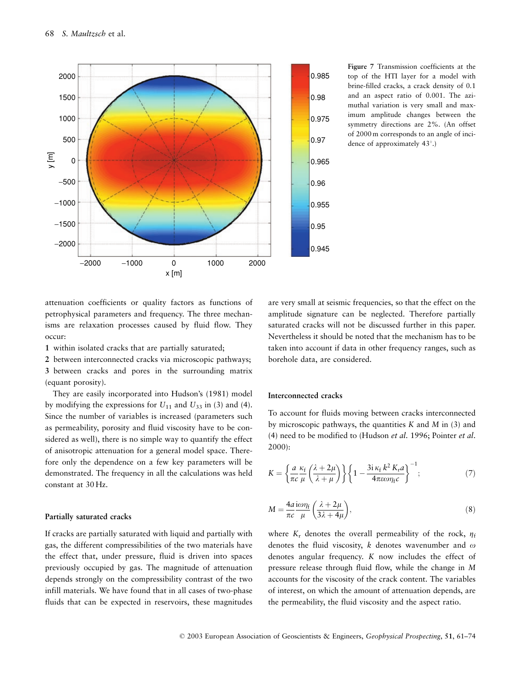

Figure 7 Transmission coefficients at the top of the HTI layer for a model with brine-filled cracks, a crack density of 0.1 and an aspect ratio of 0.001. The azimuthal variation is very small and maximum amplitude changes between the symmetry directions are 2%. (An offset of 2000 m corresponds to an angle of incidence of approximately 43°.)

attenuation coefficients or quality factors as functions of petrophysical parameters and frequency. The three mechanisms are relaxation processes caused by fluid flow. They occur:

1 within isolated cracks that are partially saturated;

2 between interconnected cracks via microscopic pathways; 3 between cracks and pores in the surrounding matrix (equant porosity).

They are easily incorporated into Hudson's (1981) model by modifying the expressions for  $U_{11}$  and  $U_{33}$  in (3) and (4). Since the number of variables is increased (parameters such as permeability, porosity and fluid viscosity have to be considered as well), there is no simple way to quantify the effect of anisotropic attenuation for a general model space. Therefore only the dependence on a few key parameters will be demonstrated. The frequency in all the calculations was held constant at 30 Hz.

## Partially saturated cracks

If cracks are partially saturated with liquid and partially with gas, the different compressibilities of the two materials have the effect that, under pressure, fluid is driven into spaces previously occupied by gas. The magnitude of attenuation depends strongly on the compressibility contrast of the two infill materials. We have found that in all cases of two-phase fluids that can be expected in reservoirs, these magnitudes are very small at seismic frequencies, so that the effect on the amplitude signature can be neglected. Therefore partially saturated cracks will not be discussed further in this paper. Nevertheless it should be noted that the mechanism has to be taken into account if data in other frequency ranges, such as borehole data, are considered.

## Interconnected cracks

To account for fluids moving between cracks interconnected by microscopic pathways, the quantities  $K$  and  $M$  in (3) and (4) need to be modified to (Hudson et al. 1996; Pointer et al.  $2000$ :

$$
K = \left\{ \frac{a}{\pi c} \frac{\kappa_f}{\mu} \left( \frac{\lambda + 2\mu}{\lambda + \mu} \right) \right\} \left\{ 1 - \frac{3i \kappa_f k^2 K_r a}{4\pi \epsilon \omega \eta_f c} \right\}^{-1};
$$
 (7)

$$
M = \frac{4a}{\pi c} \frac{i\omega \eta_f}{\mu} \left( \frac{\lambda + 2\mu}{3\lambda + 4\mu} \right),
$$
\n(8)

where  $K_r$  denotes the overall permeability of the rock,  $\eta_f$ denotes the fluid viscosity, k denotes wavenumber and  $\omega$ denotes angular frequency. K now includes the effect of pressure release through fluid flow, while the change in M accounts for the viscosity of the crack content. The variables of interest, on which the amount of attenuation depends, are the permeability, the fluid viscosity and the aspect ratio.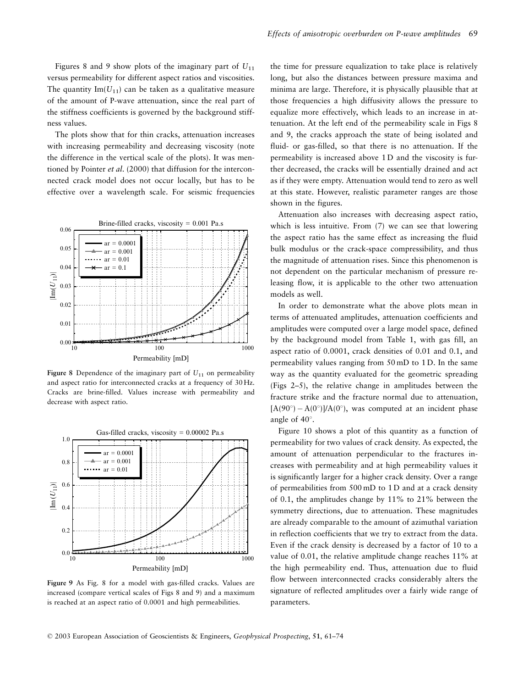Figures 8 and 9 show plots of the imaginary part of  $U_{11}$ versus permeability for different aspect ratios and viscosities. The quantity Im( $U_{11}$ ) can be taken as a qualitative measure of the amount of P-wave attenuation, since the real part of the stiffness coefficients is governed by the background stiffness values.

The plots show that for thin cracks, attenuation increases with increasing permeability and decreasing viscosity (note the difference in the vertical scale of the plots). It was mentioned by Pointer et al. (2000) that diffusion for the interconnected crack model does not occur locally, but has to be effective over a wavelength scale. For seismic frequencies



Figure 8 Dependence of the imaginary part of  $U_{11}$  on permeability and aspect ratio for interconnected cracks at a frequency of 30 Hz. Cracks are brine-filled. Values increase with permeability and decrease with aspect ratio.



Figure 9 As Fig. 8 for a model with gas-filled cracks. Values are increased (compare vertical scales of Figs 8 and 9) and a maximum is reached at an aspect ratio of 0.0001 and high permeabilities.

the time for pressure equalization to take place is relatively long, but also the distances between pressure maxima and minima are large. Therefore, it is physically plausible that at those frequencies a high diffusivity allows the pressure to equalize more effectively, which leads to an increase in attenuation. At the left end of the permeability scale in Figs 8 and 9, the cracks approach the state of being isolated and fluid- or gas-filled, so that there is no attenuation. If the permeability is increased above 1D and the viscosity is further decreased, the cracks will be essentially drained and act as if they were empty. Attenuation would tend to zero as well at this state. However, realistic parameter ranges are those shown in the figures.

Attenuation also increases with decreasing aspect ratio, which is less intuitive. From  $(7)$  we can see that lowering the aspect ratio has the same effect as increasing the fluid bulk modulus or the crack-space compressibility, and thus the magnitude of attenuation rises. Since this phenomenon is not dependent on the particular mechanism of pressure releasing flow, it is applicable to the other two attenuation models as well.

In order to demonstrate what the above plots mean in terms of attenuated amplitudes, attenuation coefficients and amplitudes were computed over a large model space, defined by the background model from Table 1, with gas fill, an aspect ratio of 0.0001, crack densities of 0.01 and 0.1, and permeability values ranging from 50 mD to 1D. In the same way as the quantity evaluated for the geometric spreading (Figs 2-5), the relative change in amplitudes between the fracture strike and the fracture normal due to attenuation,  $[A(90^\circ) - A(0^\circ)]/A(0^\circ)$ , was computed at an incident phase angle of  $40^\circ$ .

Figure 10 shows a plot of this quantity as a function of permeability for two values of crack density. As expected, the amount of attenuation perpendicular to the fractures increases with permeability and at high permeability values it is significantly larger for a higher crack density. Over a range of permeabilities from 500 mD to 1D and at a crack density of 0.1, the amplitudes change by 11% to 21% between the symmetry directions, due to attenuation. These magnitudes are already comparable to the amount of azimuthal variation in reflection coefficients that we try to extract from the data. Even if the crack density is decreased by a factor of 10 to a value of 0.01, the relative amplitude change reaches 11% at the high permeability end. Thus, attenuation due to fluid flow between interconnected cracks considerably alters the signature of reflected amplitudes over a fairly wide range of parameters.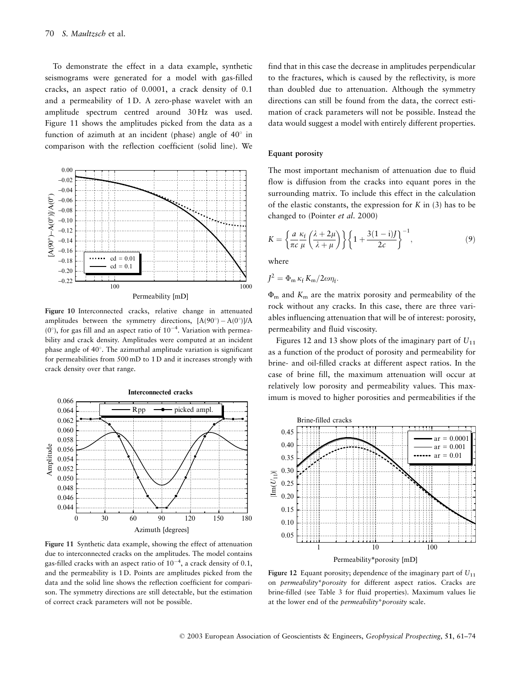To demonstrate the effect in a data example, synthetic seismograms were generated for a model with gas-filled cracks, an aspect ratio of 0.0001, a crack density of 0.1 and a permeability of 1D. A zero-phase wavelet with an amplitude spectrum centred around 30Hz was used. Figure 11 shows the amplitudes picked from the data as a function of azimuth at an incident (phase) angle of  $40^{\circ}$  in comparison with the reflection coefficient (solid line). We



Figure 10 Interconnected cracks, relative change in attenuated amplitudes between the symmetry directions,  $[A(90^\circ) - A(0^\circ)]/A$  $(0^{\circ})$ , for gas fill and an aspect ratio of  $10^{-4}$ . Variation with permeability and crack density. Amplitudes were computed at an incident phase angle of 40°. The azimuthal amplitude variation is significant for permeabilities from 500 mD to 1D and it increases strongly with crack density over that range.



Figure 11 Synthetic data example, showing the effect of attenuation due to interconnected cracks on the amplitudes. The model contains gas-filled cracks with an aspect ratio of  $10^{-4}$ , a crack density of 0.1, and the permeability is 1D. Points are amplitudes picked from the data and the solid line shows the reflection coefficient for comparison. The symmetry directions are still detectable, but the estimation of correct crack parameters will not be possible.

find that in this case the decrease in amplitudes perpendicular to the fractures, which is caused by the reflectivity, is more than doubled due to attenuation. Although the symmetry directions can still be found from the data, the correct estimation of crack parameters will not be possible. Instead the data would suggest a model with entirely different properties.

## **Equant porosity**

The most important mechanism of attenuation due to fluid flow is diffusion from the cracks into equant pores in the surrounding matrix. To include this effect in the calculation of the elastic constants, the expression for  $K$  in (3) has to be changed to (Pointer et al. 2000)

$$
K = \left\{ \frac{a}{\pi c} \frac{\kappa_f}{\mu} \left( \frac{\lambda + 2\mu}{\lambda + \mu} \right) \right\} \left\{ 1 + \frac{3(1 - i)J}{2c} \right\}^{-1},\tag{9}
$$

where

$$
J^2 = \Phi_{\rm m} \kappa_{\rm f} K_{\rm m} / 2 \omega \eta_{\rm f}.
$$

 $\Phi_{\rm m}$  and  $K_{\rm m}$  are the matrix porosity and permeability of the rock without any cracks. In this case, there are three variables influencing attenuation that will be of interest: porosity, permeability and fluid viscosity.

Figures 12 and 13 show plots of the imaginary part of  $U_{11}$ as a function of the product of porosity and permeability for brine- and oil-filled cracks at different aspect ratios. In the case of brine fill, the maximum attenuation will occur at relatively low porosity and permeability values. This maximum is moved to higher porosities and permeabilities if the



Figure 12 Equant porosity; dependence of the imaginary part of  $U_{11}$ on permeability\*porosity for different aspect ratios. Cracks are brine-filled (see Table 3 for fluid properties). Maximum values lie at the lower end of the *permeability*\**porosity* scale.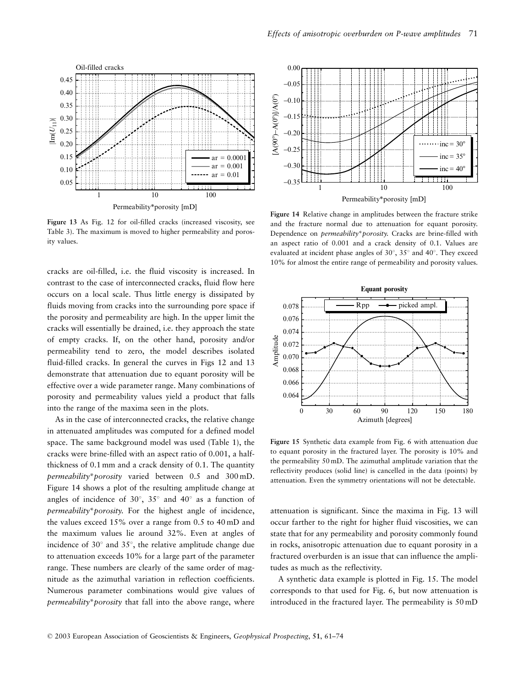

Permeability\*porosity [mD]

Figure 13 As Fig. 12 for oil-filled cracks (increased viscosity, see Table 3). The maximum is moved to higher permeability and porosity values.

cracks are oil-filled, i.e. the fluid viscosity is increased. In contrast to the case of interconnected cracks, fluid flow here occurs on a local scale. Thus little energy is dissipated by fluids moving from cracks into the surrounding pore space if the porosity and permeability are high. In the upper limit the cracks will essentially be drained, i.e. they approach the state of empty cracks. If, on the other hand, porosity and/or permeability tend to zero, the model describes isolated fluid-filled cracks. In general the curves in Figs 12 and 13 demonstrate that attenuation due to equant porosity will be effective over a wide parameter range. Many combinations of porosity and permeability values yield a product that falls into the range of the maxima seen in the plots.

As in the case of interconnected cracks, the relative change in attenuated amplitudes was computed for a defined model space. The same background model was used (Table 1), the cracks were brine-filled with an aspect ratio of 0.001, a halfthickness of 0.1 mm and a crack density of 0.1. The quantity permeability\*porosity varied between 0.5 and 300mD. Figure 14 shows a plot of the resulting amplitude change at angles of incidence of 30 $^{\circ}$ , 35 $^{\circ}$  and 40 $^{\circ}$  as a function of permeability\*porosity. For the highest angle of incidence, the values exceed 15% over a range from 0.5 to 40 mD and the maximum values lie around 32%. Even at angles of incidence of  $30^{\circ}$  and  $35^{\circ}$ , the relative amplitude change due to attenuation exceeds 10% for a large part of the parameter range. These numbers are clearly of the same order of magnitude as the azimuthal variation in reflection coefficients. Numerous parameter combinations would give values of permeability\*porosity that fall into the above range, where



Figure 14 Relative change in amplitudes between the fracture strike and the fracture normal due to attenuation for equant porosity. Dependence on *permeability\*porosity*. Cracks are brine-filled with an aspect ratio of 0.001 and a crack density of 0.1. Values are evaluated at incident phase angles of 30°, 35° and 40°. They exceed 10% for almost the entire range of permeability and porosity values.



Figure 15 Synthetic data example from Fig. 6 with attenuation due to equant porosity in the fractured layer. The porosity is 10% and the permeability 50 mD. The azimuthal amplitude variation that the reflectivity produces (solid line) is cancelled in the data (points) by attenuation. Even the symmetry orientations will not be detectable.

attenuation is significant. Since the maxima in Fig. 13 will occur farther to the right for higher fluid viscosities, we can state that for any permeability and porosity commonly found in rocks, anisotropic attenuation due to equant porosity in a fractured overburden is an issue that can influence the amplitudes as much as the reflectivity.

A synthetic data example is plotted in Fig. 15. The model corresponds to that used for Fig. 6, but now attenuation is introduced in the fractured layer. The permeability is 50 mD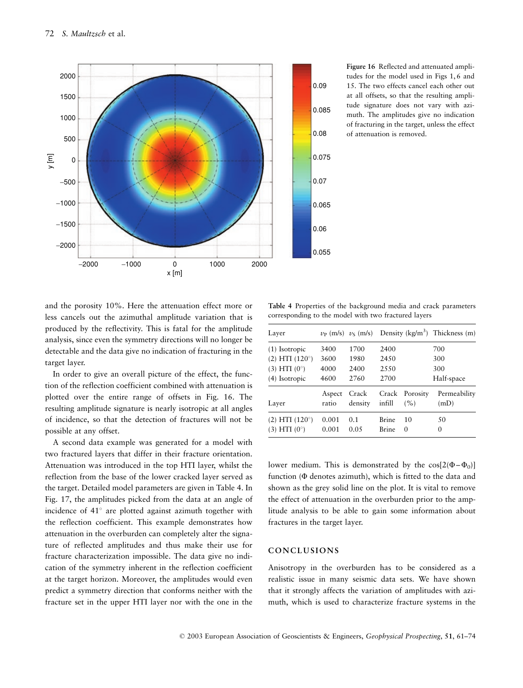

Figure 16 Reflected and attenuated amplitudes for the model used in Figs 1.6 and 15. The two effects cancel each other out at all offsets, so that the resulting amplitude signature does not vary with azimuth. The amplitudes give no indication of fracturing in the target, unless the effect of attenuation is removed.

and the porosity 10%. Here the attenuation effect more or less cancels out the azimuthal amplitude variation that is produced by the reflectivity. This is fatal for the amplitude analysis, since even the symmetry directions will no longer be detectable and the data give no indication of fracturing in the target layer.

In order to give an overall picture of the effect, the function of the reflection coefficient combined with attenuation is plotted over the entire range of offsets in Fig. 16. The resulting amplitude signature is nearly isotropic at all angles of incidence, so that the detection of fractures will not be possible at any offset.

A second data example was generated for a model with two fractured layers that differ in their fracture orientation. Attenuation was introduced in the top HTI laver, whilst the reflection from the base of the lower cracked layer served as the target. Detailed model parameters are given in Table 4. In Fig. 17, the amplitudes picked from the data at an angle of incidence of 41° are plotted against azimuth together with the reflection coefficient. This example demonstrates how attenuation in the overburden can completely alter the signature of reflected amplitudes and thus make their use for fracture characterization impossible. The data give no indication of the symmetry inherent in the reflection coefficient at the target horizon. Moreover, the amplitudes would even predict a symmetry direction that conforms neither with the fracture set in the upper HTI layer nor with the one in the

Table 4 Properties of the background media and crack parameters corresponding to the model with two fractured layers

| Layer                 |        |         |              |          | $v_P$ (m/s) $v_S$ (m/s) Density (kg/m <sup>3</sup> ) Thickness (m) |
|-----------------------|--------|---------|--------------|----------|--------------------------------------------------------------------|
| $(1)$ Isotropic       | 3400   | 1700    | 2400         |          | 700                                                                |
| (2) HTI (120°)        | 3600   | 1980    | 24.50        |          | 300                                                                |
| (3) HTI (0°)          | 4000   | 2400    | 2.5.50       |          | 300                                                                |
| $(4)$ Isotropic       | 4600   | 2760    | 2700         |          | Half-space                                                         |
| Layer                 | Aspect | Crack   | Crack        | Porosity | Permeability                                                       |
|                       | ratio  | density | infill       | (%)      | (mD)                                                               |
| $(2) HTI (120^\circ)$ | 0.001  | 0.1     | <b>Brine</b> | 10       | 50                                                                 |
| (3) HTI (0°)          | 0.001  | 0.05    | <b>Brine</b> | $\theta$ | 0                                                                  |

lower medium. This is demonstrated by the  $cos[2(\Phi - \Phi_0)]$ function  $(\Phi$  denotes azimuth), which is fitted to the data and shown as the grey solid line on the plot. It is vital to remove the effect of attenuation in the overburden prior to the amplitude analysis to be able to gain some information about fractures in the target layer.

## CONCLUSIONS

Anisotropy in the overburden has to be considered as a realistic issue in many seismic data sets. We have shown that it strongly affects the variation of amplitudes with azimuth, which is used to characterize fracture systems in the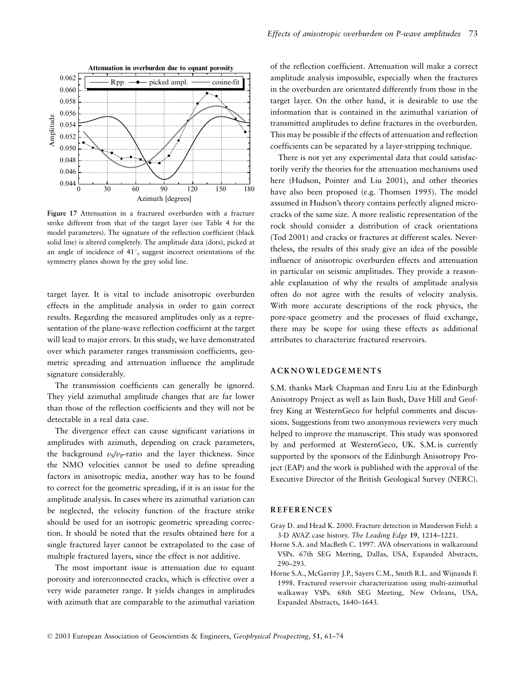

Figure 17 Attenuation in a fractured overburden with a fracture strike different from that of the target layer (see Table 4 for the model parameters). The signature of the reflection coefficient (black solid line) is altered completely. The amplitude data (dots), picked at an angle of incidence of 41°, suggest incorrect orientations of the symmetry planes shown by the grey solid line.

target layer. It is vital to include anisotropic overburden effects in the amplitude analysis in order to gain correct results. Regarding the measured amplitudes only as a representation of the plane-wave reflection coefficient at the target will lead to major errors. In this study, we have demonstrated over which parameter ranges transmission coefficients, geometric spreading and attenuation influence the amplitude signature considerably.

The transmission coefficients can generally be ignored. They yield azimuthal amplitude changes that are far lower than those of the reflection coefficients and they will not be detectable in a real data case.

The divergence effect can cause significant variations in amplitudes with azimuth, depending on crack parameters, the background  $v_s/v_p$ -ratio and the layer thickness. Since the NMO velocities cannot be used to define spreading factors in anisotropic media, another way has to be found to correct for the geometric spreading, if it is an issue for the amplitude analysis. In cases where its azimuthal variation can be neglected, the velocity function of the fracture strike should be used for an isotropic geometric spreading correction. It should be noted that the results obtained here for a single fractured layer cannot be extrapolated to the case of multiple fractured layers, since the effect is not additive.

The most important issue is attenuation due to equant porosity and interconnected cracks, which is effective over a very wide parameter range. It yields changes in amplitudes with azimuth that are comparable to the azimuthal variation of the reflection coefficient. Attenuation will make a correct amplitude analysis impossible, especially when the fractures in the overburden are orientated differently from those in the target layer. On the other hand, it is desirable to use the information that is contained in the azimuthal variation of transmitted amplitudes to define fractures in the overburden. This may be possible if the effects of attenuation and reflection coefficients can be separated by a layer-stripping technique.

There is not yet any experimental data that could satisfactorily verify the theories for the attenuation mechanisms used here (Hudson, Pointer and Liu 2001), and other theories have also been proposed (e.g. Thomsen 1995). The model assumed in Hudson's theory contains perfectly aligned microcracks of the same size. A more realistic representation of the rock should consider a distribution of crack orientations (Tod 2001) and cracks or fractures at different scales. Nevertheless, the results of this study give an idea of the possible influence of anisotropic overburden effects and attenuation in particular on seismic amplitudes. They provide a reasonable explanation of why the results of amplitude analysis often do not agree with the results of velocity analysis. With more accurate descriptions of the rock physics, the pore-space geometry and the processes of fluid exchange, there may be scope for using these effects as additional attributes to characterize fractured reservoirs.

#### **ACKNOWLEDGEMENTS**

S.M. thanks Mark Chapman and Enru Liu at the Edinburgh Anisotropy Project as well as Iain Bush, Dave Hill and Geoffrey King at WesternGeco for helpful comments and discussions. Suggestions from two anonymous reviewers very much helped to improve the manuscript. This study was sponsored by and performed at WesternGeco, UK. S.M. is currently supported by the sponsors of the Edinburgh Anisotropy Project (EAP) and the work is published with the approval of the Executive Director of the British Geological Survey (NERC).

#### **REFERENCES**

- Gray D. and Head K. 2000. Fracture detection in Manderson Field: a 3-D AVAZ case history. The Leading Edge 19, 1214-1221.
- Horne S.A. and MacBeth C. 1997. AVA observations in walkaround VSPs. 67th SEG Meeting, Dallas, USA, Expanded Abstracts,  $290 - 293$ .
- Horne S.A., McGarrity J.P., Sayers C.M., Smith R.L. and Wijnands F. 1998. Fractured reservoir characterization using multi-azimuthal walkaway VSPs. 68th SEG Meeting, New Orleans, USA, Expanded Abstracts, 1640-1643.